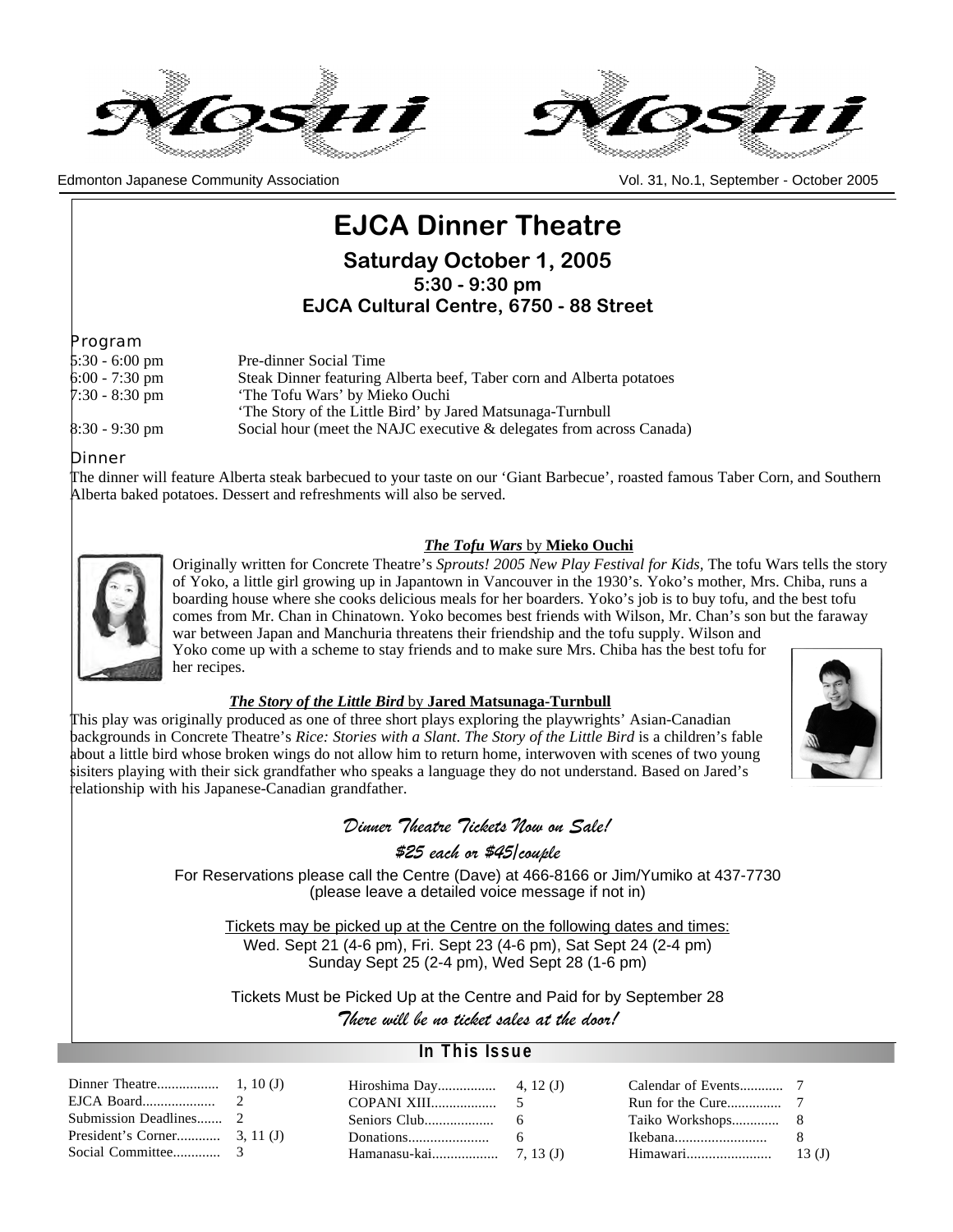



Edmonton Japanese Community Association Vol. 31, No.1, September - October 2005

# **EJCA Dinner Theatre**

**Saturday October 1, 2005 5:30 - 9:30 pm**

**EJCA Cultural Centre, 6750 - 88 Street**

Program

| $5:30 - 6:00 \text{ pm}$ | Pre-dinner Social Time                                               |
|--------------------------|----------------------------------------------------------------------|
| $6:00 - 7:30$ pm         | Steak Dinner featuring Alberta beef, Taber corn and Alberta potatoes |
| $7:30 - 8:30$ pm         | 'The Tofu Wars' by Mieko Ouchi                                       |
|                          | The Story of the Little Bird' by Jared Matsunaga-Turnbull            |
| $8:30 - 9:30$ pm         | Social hour (meet the NAJC executive & delegates from across Canada) |

Dinner

The dinner will feature Alberta steak barbecued to your taste on our 'Giant Barbecue', roasted famous Taber Corn, and Southern Alberta baked potatoes. Dessert and refreshments will also be served.

### *The Tofu Wars* by **Mieko Ouchi**



Originally written for Concrete Theatre's *Sprouts! 2005 New Play Festival for Kids,* The tofu Wars tells the story of Yoko, a little girl growing up in Japantown in Vancouver in the 1930's. Yoko's mother, Mrs. Chiba, runs a boarding house where she cooks delicious meals for her boarders. Yoko's job is to buy tofu, and the best tofu comes from Mr. Chan in Chinatown. Yoko becomes best friends with Wilson, Mr. Chan's son but the faraway war between Japan and Manchuria threatens their friendship and the tofu supply. Wilson and Yoko come up with a scheme to stay friends and to make sure Mrs. Chiba has the best tofu for her recipes.

### *The Story of the Little Bird* by **Jared Matsunaga-Turnbull**

This play was originally produced as one of three short plays exploring the playwrights' Asian-Canadian backgrounds in Concrete Theatre's *Rice: Stories with a Slant*. *The Story of the Little Bird* is a children's fable about a little bird whose broken wings do not allow him to return home, interwoven with scenes of two young sisiters playing with their sick grandfather who speaks a language they do not understand. Based on Jared's relationship with his Japanese-Canadian grandfather.



## *Dinner Theatre Tickets Now on Sale!*

*\$25 each or \$45/couple*

For Reservations please call the Centre (Dave) at 466-8166 or Jim/Yumiko at 437-7730 (please leave a detailed voice message if not in)

Tickets may be picked up at the Centre on the following dates and times: Wed. Sept 21 (4-6 pm), Fri. Sept 23 (4-6 pm), Sat Sept 24 (2-4 pm) Sunday Sept 25 (2-4 pm), Wed Sept 28 (1-6 pm)

Tickets Must be Picked Up at the Centre and Paid for by September 28

*There will be no ticket sales at the door!*

### **In This Issue**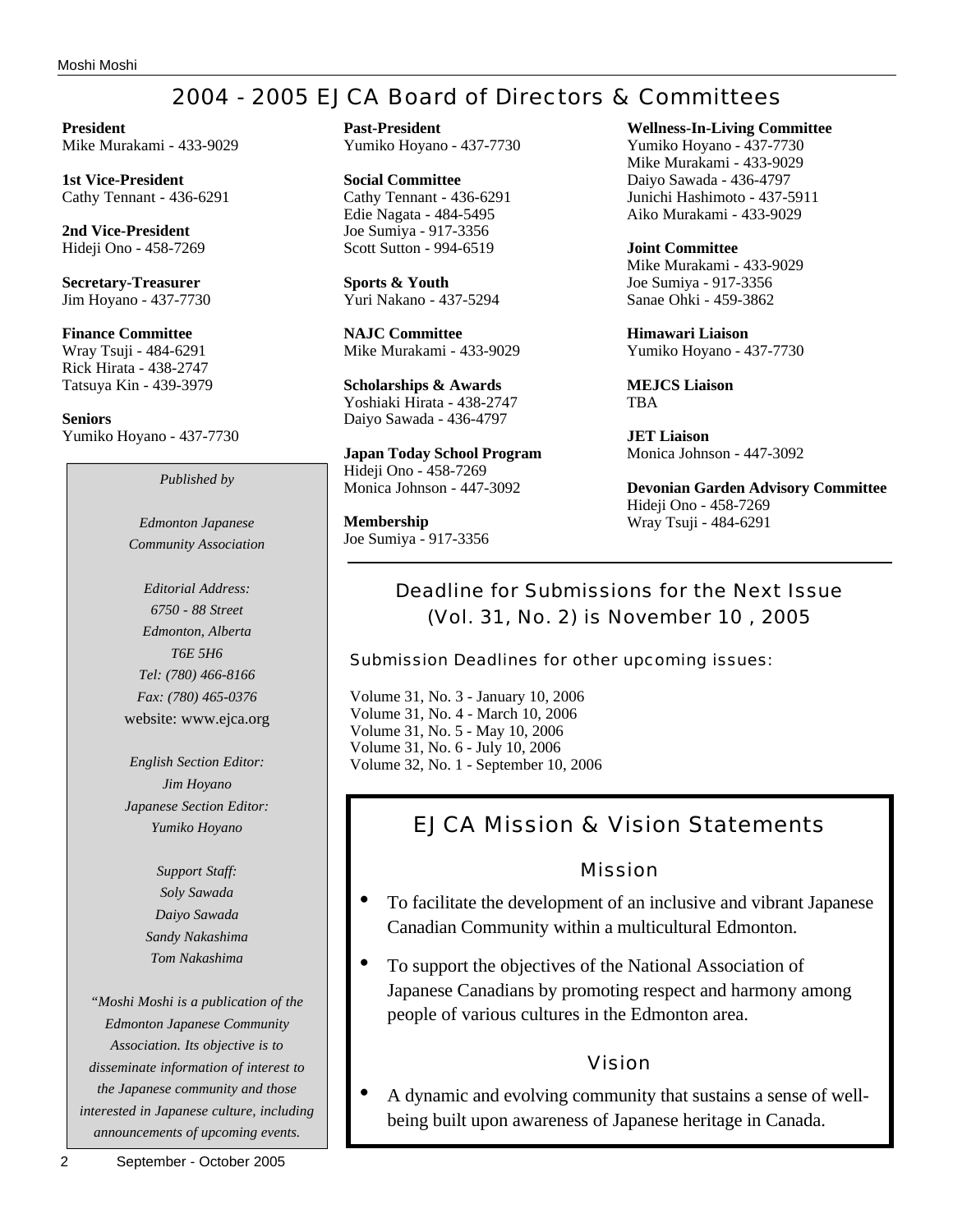# 2004 - 2005 EJCA Board of Directors & Committees

**President** Mike Murakami - 433-9029

**1st Vice-President** Cathy Tennant - 436-6291

**2nd Vice-President** Hideji Ono - 458-7269

**Secretary-Treasurer** Jim Hoyano - 437-7730

**Finance Committee** Wray Tsuji - 484-6291 Rick Hirata - 438-2747 Tatsuya Kin - 439-3979

**Seniors** Yumiko Hoyano - 437-7730

*Published by*

*Edmonton Japanese Community Association*

*Editorial Address: 6750 - 88 Street Edmonton, Alberta T6E 5H6 Tel: (780) 466-8166 Fax: (780) 465-0376* website: www.ejca.org

*English Section Editor: Jim Hoyano Japanese Section Editor: Yumiko Hoyano*

> *Support Staff: Soly Sawada Daiyo Sawada Sandy Nakashima Tom Nakashima*

*"Moshi Moshi is a publication of the Edmonton Japanese Community Association. Its objective is to disseminate information of interest to the Japanese community and those interested in Japanese culture, including announcements of upcoming events.*

**Past-President** Yumiko Hoyano - 437-7730

**Social Committee** Cathy Tennant - 436-6291 Edie Nagata - 484-5495 Joe Sumiya - 917-3356 Scott Sutton - 994-6519

**Sports & Youth** Yuri Nakano - 437-5294

**NAJC Committee** Mike Murakami - 433-9029

**Scholarships & Awards** Yoshiaki Hirata - 438-2747 Daiyo Sawada - 436-4797

**Japan Today School Program** Hideji Ono - 458-7269 Monica Johnson - 447-3092

**Membership** Joe Sumiya - 917-3356 **Wellness-In-Living Committee**

Yumiko Hoyano - 437-7730 Mike Murakami - 433-9029 Daiyo Sawada - 436-4797 Junichi Hashimoto - 437-5911 Aiko Murakami - 433-9029

**Joint Committee** Mike Murakami - 433-9029 Joe Sumiya - 917-3356 Sanae Ohki - 459-3862

**Himawari Liaison** Yumiko Hoyano - 437-7730

**MEJCS Liaison** TBA

**JET Liaison** Monica Johnson - 447-3092

**Devonian Garden Advisory Committee** Hideji Ono - 458-7269 Wray Tsuji - 484-6291

## Deadline for Submissions for the Next Issue (Vol. 31, No. 2) is November 10 , 2005

Submission Deadlines for other upcoming issues:

Volume 31, No. 3 - January 10, 2006 Volume 31, No. 4 - March 10, 2006 Volume 31, No. 5 - May 10, 2006 Volume 31, No. 6 - July 10, 2006 Volume 32, No. 1 - September 10, 2006

# EJCA Mission & Vision Statements

## Mission

- To facilitate the development of an inclusive and vibrant Japanese Canadian Community within a multicultural Edmonton.
- To support the objectives of the National Association of Japanese Canadians by promoting respect and harmony among people of various cultures in the Edmonton area.

## Vision

• A dynamic and evolving community that sustains a sense of wellbeing built upon awareness of Japanese heritage in Canada.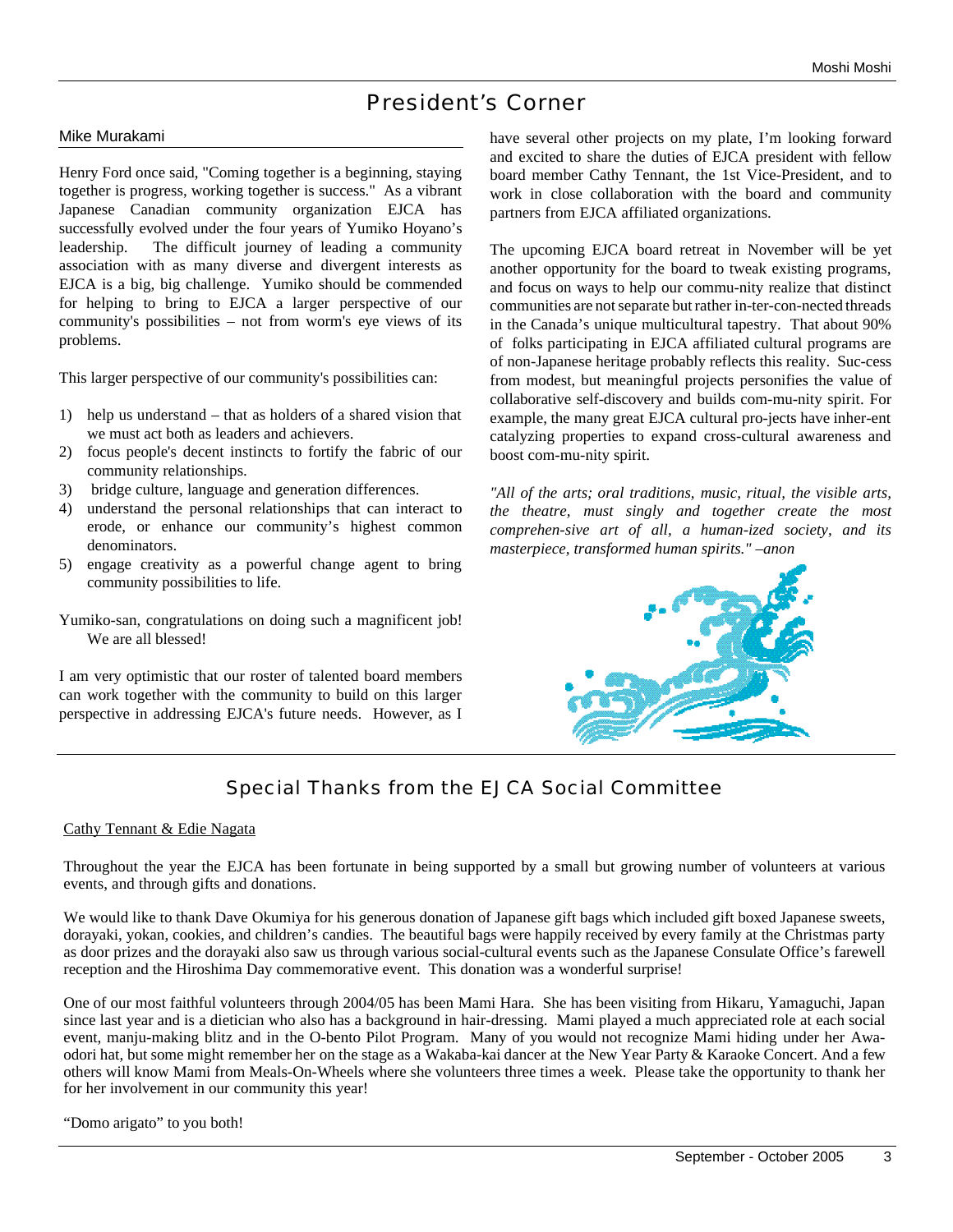# President's Corner

### Mike Murakami

Henry Ford once said, "Coming together is a beginning, staying together is progress, working together is success." As a vibrant Japanese Canadian community organization EJCA has successfully evolved under the four years of Yumiko Hoyano's leadership. The difficult journey of leading a community association with as many diverse and divergent interests as EJCA is a big, big challenge. Yumiko should be commended for helping to bring to EJCA a larger perspective of our community's possibilities – not from worm's eye views of its problems.

This larger perspective of our community's possibilities can:

- 1) help us understand that as holders of a shared vision that we must act both as leaders and achievers.
- 2) focus people's decent instincts to fortify the fabric of our community relationships.
- 3) bridge culture, language and generation differences.
- 4) understand the personal relationships that can interact to erode, or enhance our community's highest common denominators.
- 5) engage creativity as a powerful change agent to bring community possibilities to life.
- Yumiko-san, congratulations on doing such a magnificent job! We are all blessed!

I am very optimistic that our roster of talented board members can work together with the community to build on this larger perspective in addressing EJCA's future needs. However, as I have several other projects on my plate, I'm looking forward and excited to share the duties of EJCA president with fellow board member Cathy Tennant, the 1st Vice-President, and to work in close collaboration with the board and community partners from EJCA affiliated organizations.

The upcoming EJCA board retreat in November will be yet another opportunity for the board to tweak existing programs, and focus on ways to help our commu-nity realize that distinct communities are not separate but rather in-ter-con-nected threads in the Canada's unique multicultural tapestry. That about 90% of folks participating in EJCA affiliated cultural programs are of non-Japanese heritage probably reflects this reality. Suc-cess from modest, but meaningful projects personifies the value of collaborative self-discovery and builds com-mu-nity spirit. For example, the many great EJCA cultural pro-jects have inher-ent catalyzing properties to expand cross-cultural awareness and boost com-mu-nity spirit.

*"All of the arts; oral traditions, music, ritual, the visible arts, the theatre, must singly and together create the most comprehen-sive art of all, a human-ized society, and its masterpiece, transformed human spirits." –anon*



## Special Thanks from the EJCA Social Committee

### Cathy Tennant & Edie Nagata

Throughout the year the EJCA has been fortunate in being supported by a small but growing number of volunteers at various events, and through gifts and donations.

We would like to thank Dave Okumiya for his generous donation of Japanese gift bags which included gift boxed Japanese sweets, dorayaki, yokan, cookies, and children's candies. The beautiful bags were happily received by every family at the Christmas party as door prizes and the dorayaki also saw us through various social-cultural events such as the Japanese Consulate Office's farewell reception and the Hiroshima Day commemorative event. This donation was a wonderful surprise!

One of our most faithful volunteers through 2004/05 has been Mami Hara. She has been visiting from Hikaru, Yamaguchi, Japan since last year and is a dietician who also has a background in hair-dressing. Mami played a much appreciated role at each social event, manju-making blitz and in the O-bento Pilot Program. Many of you would not recognize Mami hiding under her Awaodori hat, but some might remember her on the stage as a Wakaba-kai dancer at the New Year Party & Karaoke Concert. And a few others will know Mami from Meals-On-Wheels where she volunteers three times a week. Please take the opportunity to thank her for her involvement in our community this year!

"Domo arigato" to you both!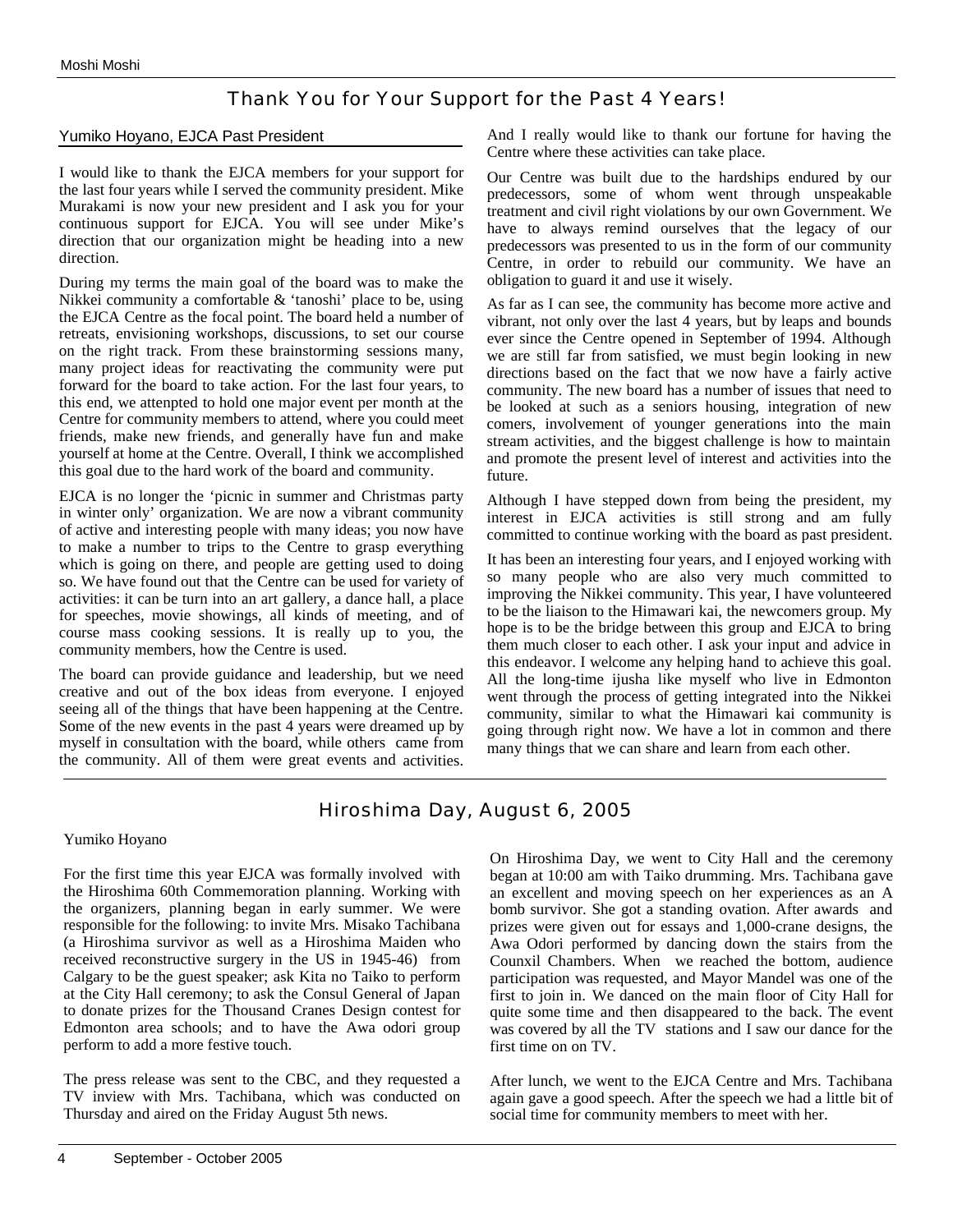## Thank You for Your Support for the Past 4 Years!

### Yumiko Hoyano, EJCA Past President

I would like to thank the EJCA members for your support for the last four years while I served the community president. Mike Murakami is now your new president and I ask you for your continuous support for EJCA. You will see under Mike's direction that our organization might be heading into a new direction.

During my terms the main goal of the board was to make the Nikkei community a comfortable & 'tanoshi' place to be, using the EJCA Centre as the focal point. The board held a number of retreats, envisioning workshops, discussions, to set our course on the right track. From these brainstorming sessions many, many project ideas for reactivating the community were put forward for the board to take action. For the last four years, to this end, we attenpted to hold one major event per month at the Centre for community members to attend, where you could meet friends, make new friends, and generally have fun and make yourself at home at the Centre. Overall, I think we accomplished this goal due to the hard work of the board and community.

EJCA is no longer the 'picnic in summer and Christmas party in winter only' organization. We are now a vibrant community of active and interesting people with many ideas; you now have to make a number to trips to the Centre to grasp everything which is going on there, and people are getting used to doing so. We have found out that the Centre can be used for variety of activities: it can be turn into an art gallery, a dance hall, a place for speeches, movie showings, all kinds of meeting, and of course mass cooking sessions. It is really up to you, the community members, how the Centre is used.

The board can provide guidance and leadership, but we need creative and out of the box ideas from everyone. I enjoyed seeing all of the things that have been happening at the Centre. Some of the new events in the past 4 years were dreamed up by myself in consultation with the board, while others came from the community. All of them were great events and activities.

And I really would like to thank our fortune for having the Centre where these activities can take place.

Our Centre was built due to the hardships endured by our predecessors, some of whom went through unspeakable treatment and civil right violations by our own Government. We have to always remind ourselves that the legacy of our predecessors was presented to us in the form of our community Centre, in order to rebuild our community. We have an obligation to guard it and use it wisely.

As far as I can see, the community has become more active and vibrant, not only over the last 4 years, but by leaps and bounds ever since the Centre opened in September of 1994. Although we are still far from satisfied, we must begin looking in new directions based on the fact that we now have a fairly active community. The new board has a number of issues that need to be looked at such as a seniors housing, integration of new comers, involvement of younger generations into the main stream activities, and the biggest challenge is how to maintain and promote the present level of interest and activities into the future.

Although I have stepped down from being the president, my interest in EJCA activities is still strong and am fully committed to continue working with the board as past president.

It has been an interesting four years, and I enjoyed working with so many people who are also very much committed to improving the Nikkei community. This year, I have volunteered to be the liaison to the Himawari kai, the newcomers group. My hope is to be the bridge between this group and EJCA to bring them much closer to each other. I ask your input and advice in this endeavor. I welcome any helping hand to achieve this goal. All the long-time ijusha like myself who live in Edmonton went through the process of getting integrated into the Nikkei community, similar to what the Himawari kai community is going through right now. We have a lot in common and there many things that we can share and learn from each other.

## Hiroshima Day, August 6, 2005

### Yumiko Hoyano

For the first time this year EJCA was formally involved with the Hiroshima 60th Commemoration planning. Working with the organizers, planning began in early summer. We were responsible for the following: to invite Mrs. Misako Tachibana (a Hiroshima survivor as well as a Hiroshima Maiden who received reconstructive surgery in the US in 1945-46) from Calgary to be the guest speaker; ask Kita no Taiko to perform at the City Hall ceremony; to ask the Consul General of Japan to donate prizes for the Thousand Cranes Design contest for Edmonton area schools; and to have the Awa odori group perform to add a more festive touch.

The press release was sent to the CBC, and they requested a TV inview with Mrs. Tachibana, which was conducted on Thursday and aired on the Friday August 5th news.

On Hiroshima Day, we went to City Hall and the ceremony began at 10:00 am with Taiko drumming. Mrs. Tachibana gave an excellent and moving speech on her experiences as an A bomb survivor. She got a standing ovation. After awards and prizes were given out for essays and 1,000-crane designs, the Awa Odori performed by dancing down the stairs from the Counxil Chambers. When we reached the bottom, audience participation was requested, and Mayor Mandel was one of the first to join in. We danced on the main floor of City Hall for quite some time and then disappeared to the back. The event was covered by all the TV stations and I saw our dance for the first time on on TV.

After lunch, we went to the EJCA Centre and Mrs. Tachibana again gave a good speech. After the speech we had a little bit of social time for community members to meet with her.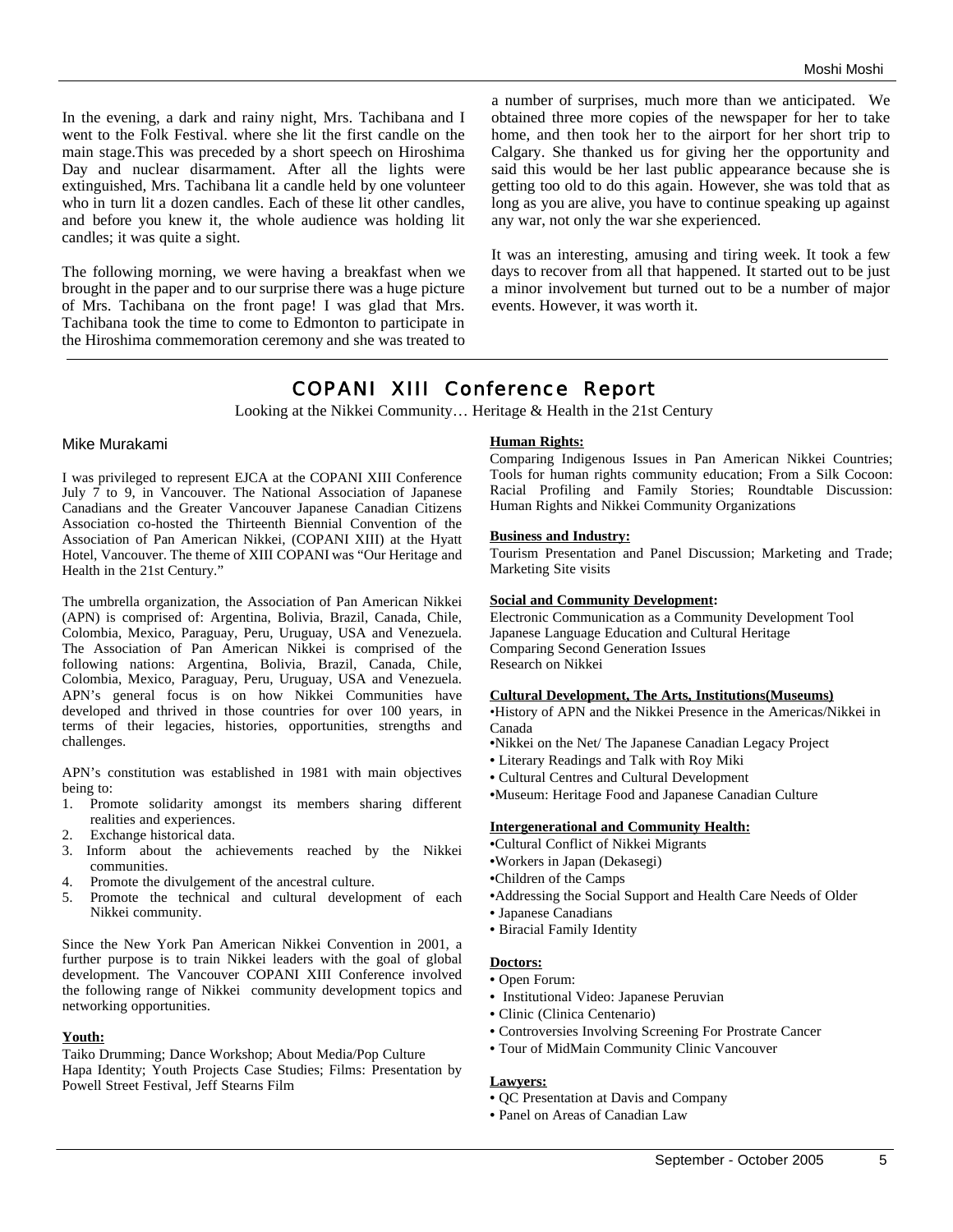In the evening, a dark and rainy night, Mrs. Tachibana and I went to the Folk Festival. where she lit the first candle on the main stage.This was preceded by a short speech on Hiroshima Day and nuclear disarmament. After all the lights were extinguished, Mrs. Tachibana lit a candle held by one volunteer who in turn lit a dozen candles. Each of these lit other candles, and before you knew it, the whole audience was holding lit candles; it was quite a sight.

The following morning, we were having a breakfast when we brought in the paper and to our surprise there was a huge picture of Mrs. Tachibana on the front page! I was glad that Mrs. Tachibana took the time to come to Edmonton to participate in the Hiroshima commemoration ceremony and she was treated to a number of surprises, much more than we anticipated. We obtained three more copies of the newspaper for her to take home, and then took her to the airport for her short trip to Calgary. She thanked us for giving her the opportunity and said this would be her last public appearance because she is getting too old to do this again. However, she was told that as long as you are alive, you have to continue speaking up against any war, not only the war she experienced.

It was an interesting, amusing and tiring week. It took a few days to recover from all that happened. It started out to be just a minor involvement but turned out to be a number of major events. However, it was worth it.

## COPANI XIII Conference Report

Looking at the Nikkei Community… Heritage & Health in the 21st Century

#### Mike Murakami

I was privileged to represent EJCA at the COPANI XIII Conference July 7 to 9, in Vancouver. The National Association of Japanese Canadians and the Greater Vancouver Japanese Canadian Citizens Association co-hosted the Thirteenth Biennial Convention of the Association of Pan American Nikkei, (COPANI XIII) at the Hyatt Hotel, Vancouver. The theme of XIII COPANI was "Our Heritage and Health in the 21st Century."

The umbrella organization, the Association of Pan American Nikkei (APN) is comprised of: Argentina, Bolivia, Brazil, Canada, Chile, Colombia, Mexico, Paraguay, Peru, Uruguay, USA and Venezuela. The Association of Pan American Nikkei is comprised of the following nations: Argentina, Bolivia, Brazil, Canada, Chile, Colombia, Mexico, Paraguay, Peru, Uruguay, USA and Venezuela. APN's general focus is on how Nikkei Communities have developed and thrived in those countries for over 100 years, in terms of their legacies, histories, opportunities, strengths and challenges.

APN's constitution was established in 1981 with main objectives being to:

- 1. Promote solidarity amongst its members sharing different realities and experiences.
- Exchange historical data.
- 3. Inform about the achievements reached by the Nikkei communities.
- 4. Promote the divulgement of the ancestral culture.
- 5. Promote the technical and cultural development of each Nikkei community.

Since the New York Pan American Nikkei Convention in 2001, a further purpose is to train Nikkei leaders with the goal of global development. The Vancouver COPANI XIII Conference involved the following range of Nikkei community development topics and networking opportunities.

#### **Youth:**

Taiko Drumming; Dance Workshop; About Media/Pop Culture Hapa Identity; Youth Projects Case Studies; Films: Presentation by Powell Street Festival, Jeff Stearns Film

#### **Human Rights:**

Comparing Indigenous Issues in Pan American Nikkei Countries; Tools for human rights community education; From a Silk Cocoon: Racial Profiling and Family Stories; Roundtable Discussion: Human Rights and Nikkei Community Organizations

#### **Business and Industry:**

Tourism Presentation and Panel Discussion; Marketing and Trade; Marketing Site visits

#### **Social and Community Development:**

Electronic Communication as a Community Development Tool Japanese Language Education and Cultural Heritage Comparing Second Generation Issues Research on Nikkei

#### **Cultural Development, The Arts, Institutions(Museums)**

•History of APN and the Nikkei Presence in the Americas/Nikkei in Canada

- •Nikkei on the Net/ The Japanese Canadian Legacy Project
- Literary Readings and Talk with Roy Miki
- Cultural Centres and Cultural Development
- •Museum: Heritage Food and Japanese Canadian Culture

#### **Intergenerational and Community Health:**

- •Cultural Conflict of Nikkei Migrants
- •Workers in Japan (Dekasegi)
- •Children of the Camps
- •Addressing the Social Support and Health Care Needs of Older
- Japanese Canadians
- Biracial Family Identity

#### **Doctors:**

- Open Forum:
- Institutional Video: Japanese Peruvian
- Clinic (Clinica Centenario)
- Controversies Involving Screening For Prostrate Cancer
- Tour of MidMain Community Clinic Vancouver

#### **Lawyers:**

- QC Presentation at Davis and Company
- Panel on Areas of Canadian Law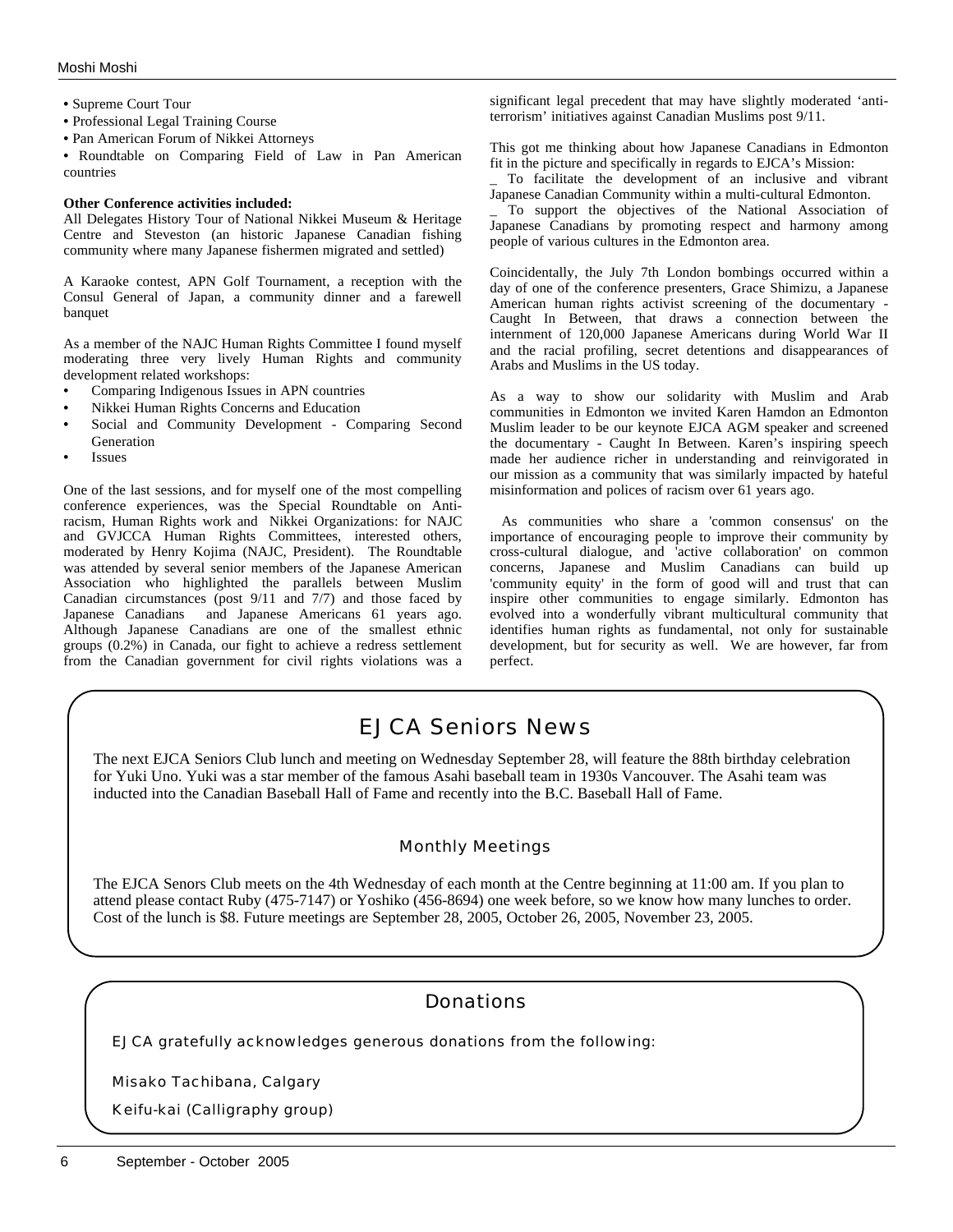- Supreme Court Tour
- Professional Legal Training Course
- Pan American Forum of Nikkei Attorneys

• Roundtable on Comparing Field of Law in Pan American countries

#### **Other Conference activities included:**

All Delegates History Tour of National Nikkei Museum & Heritage Centre and Steveston (an historic Japanese Canadian fishing community where many Japanese fishermen migrated and settled)

A Karaoke contest, APN Golf Tournament, a reception with the Consul General of Japan, a community dinner and a farewell banquet

As a member of the NAJC Human Rights Committee I found myself moderating three very lively Human Rights and community development related workshops:

- Comparing Indigenous Issues in APN countries
- Nikkei Human Rights Concerns and Education
- Social and Community Development Comparing Second Generation
- **Issues**

One of the last sessions, and for myself one of the most compelling conference experiences, was the Special Roundtable on Antiracism, Human Rights work and Nikkei Organizations: for NAJC and GVJCCA Human Rights Committees, interested others, moderated by Henry Kojima (NAJC, President). The Roundtable was attended by several senior members of the Japanese American Association who highlighted the parallels between Muslim Canadian circumstances (post 9/11 and 7/7) and those faced by Japanese Canadians and Japanese Americans 61 years ago. Although Japanese Canadians are one of the smallest ethnic groups (0.2%) in Canada, our fight to achieve a redress settlement from the Canadian government for civil rights violations was a

significant legal precedent that may have slightly moderated 'antiterrorism' initiatives against Canadian Muslims post 9/11.

This got me thinking about how Japanese Canadians in Edmonton fit in the picture and specifically in regards to EJCA's Mission:

To facilitate the development of an inclusive and vibrant Japanese Canadian Community within a multi-cultural Edmonton.

\_ To support the objectives of the National Association of Japanese Canadians by promoting respect and harmony among people of various cultures in the Edmonton area.

Coincidentally, the July 7th London bombings occurred within a day of one of the conference presenters, Grace Shimizu, a Japanese American human rights activist screening of the documentary - Caught In Between, that draws a connection between the internment of 120,000 Japanese Americans during World War II and the racial profiling, secret detentions and disappearances of Arabs and Muslims in the US today.

As a way to show our solidarity with Muslim and Arab communities in Edmonton we invited Karen Hamdon an Edmonton Muslim leader to be our keynote EJCA AGM speaker and screened the documentary - Caught In Between. Karen's inspiring speech made her audience richer in understanding and reinvigorated in our mission as a community that was similarly impacted by hateful misinformation and polices of racism over 61 years ago.

As communities who share a 'common consensus' on the importance of encouraging people to improve their community by cross-cultural dialogue, and 'active collaboration' on common concerns, Japanese and Muslim Canadians can build up 'community equity' in the form of good will and trust that can inspire other communities to engage similarly. Edmonton has evolved into a wonderfully vibrant multicultural community that identifies human rights as fundamental, not only for sustainable development, but for security as well. We are however, far from perfect.

## EJCA Seniors News

The next EJCA Seniors Club lunch and meeting on Wednesday September 28, will feature the 88th birthday celebration for Yuki Uno. Yuki was a star member of the famous Asahi baseball team in 1930s Vancouver. The Asahi team was inducted into the Canadian Baseball Hall of Fame and recently into the B.C. Baseball Hall of Fame.

### Monthly Meetings

The EJCA Senors Club meets on the 4th Wednesday of each month at the Centre beginning at 11:00 am. If you plan to attend please contact Ruby (475-7147) or Yoshiko (456-8694) one week before, so we know how many lunches to order. Cost of the lunch is \$8. Future meetings are September 28, 2005, October 26, 2005, November 23, 2005.

## Donations

EJCA gratefully acknowledges generous donations from the following:

Misako Tachibana, Calgary

Keifu-kai (Calligraphy group)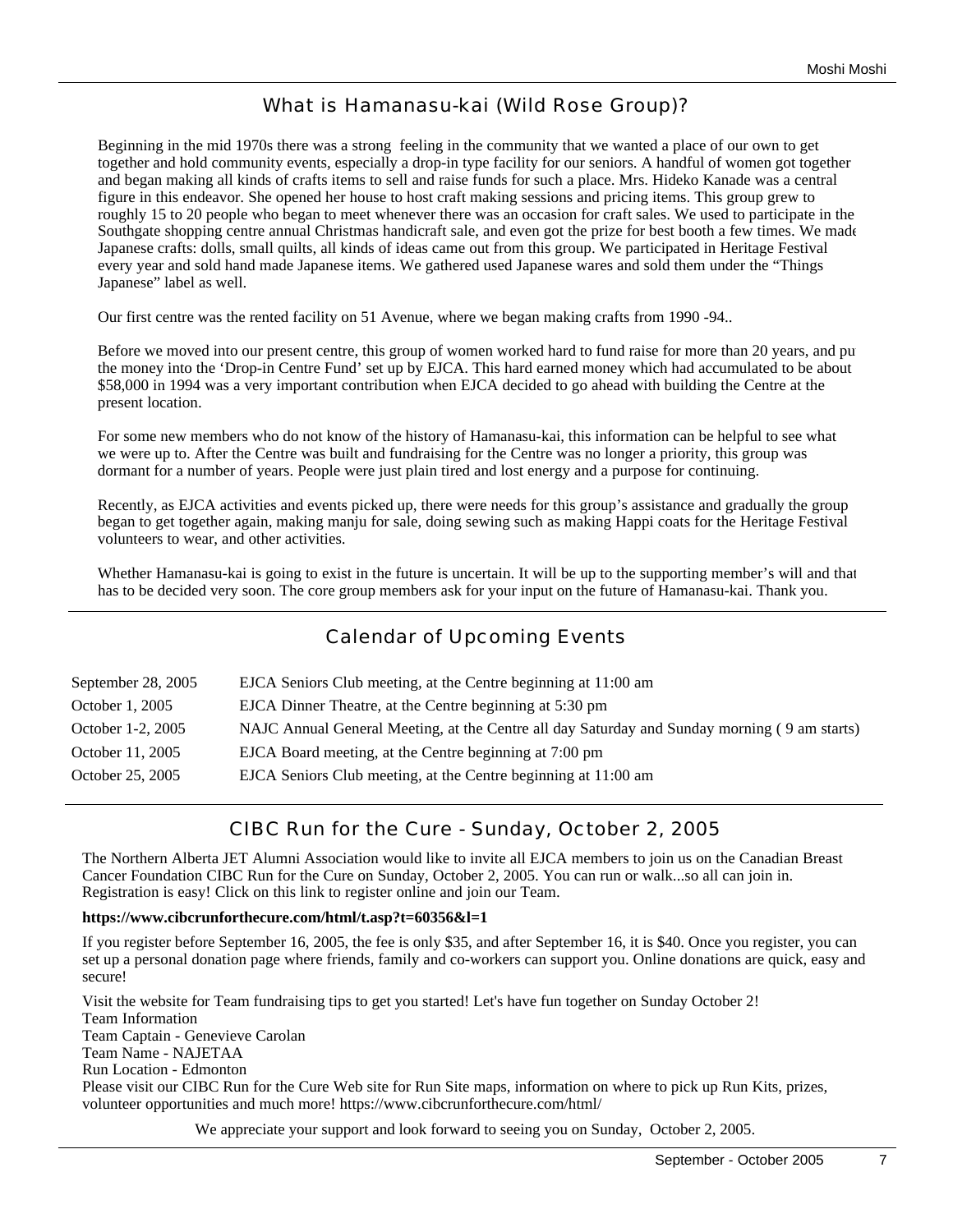## What is Hamanasu-kai (Wild Rose Group)?

Beginning in the mid 1970s there was a strong feeling in the community that we wanted a place of our own to get together and hold community events, especially a drop-in type facility for our seniors. A handful of women got together and began making all kinds of crafts items to sell and raise funds for such a place. Mrs. Hideko Kanade was a central figure in this endeavor. She opened her house to host craft making sessions and pricing items. This group grew to roughly 15 to 20 people who began to meet whenever there was an occasion for craft sales. We used to participate in the Southgate shopping centre annual Christmas handicraft sale, and even got the prize for best booth a few times. We made Japanese crafts: dolls, small quilts, all kinds of ideas came out from this group. We participated in Heritage Festival every year and sold hand made Japanese items. We gathered used Japanese wares and sold them under the "Things Japanese" label as well.

Our first centre was the rented facility on 51 Avenue, where we began making crafts from 1990 -94..

Before we moved into our present centre, this group of women worked hard to fund raise for more than 20 years, and pu the money into the 'Drop-in Centre Fund' set up by EJCA. This hard earned money which had accumulated to be about \$58,000 in 1994 was a very important contribution when EJCA decided to go ahead with building the Centre at the present location.

For some new members who do not know of the history of Hamanasu-kai, this information can be helpful to see what we were up to. After the Centre was built and fundraising for the Centre was no longer a priority, this group was dormant for a number of years. People were just plain tired and lost energy and a purpose for continuing.

Recently, as EJCA activities and events picked up, there were needs for this group's assistance and gradually the group began to get together again, making manju for sale, doing sewing such as making Happi coats for the Heritage Festival volunteers to wear, and other activities.

Whether Hamanasu-kai is going to exist in the future is uncertain. It will be up to the supporting member's will and that has to be decided very soon. The core group members ask for your input on the future of Hamanasu-kai. Thank you.

## Calendar of Upcoming Events

| September 28, 2005 | EJCA Seniors Club meeting, at the Centre beginning at 11:00 am                               |
|--------------------|----------------------------------------------------------------------------------------------|
| October 1, 2005    | EJCA Dinner Theatre, at the Centre beginning at 5:30 pm                                      |
| October 1-2, 2005  | NAJC Annual General Meeting, at the Centre all day Saturday and Sunday morning (9 am starts) |
| October 11, 2005   | EJCA Board meeting, at the Centre beginning at 7:00 pm                                       |
| October 25, 2005   | EJCA Seniors Club meeting, at the Centre beginning at 11:00 am                               |

## CIBC Run for the Cure - Sunday, October 2, 2005

The Northern Alberta JET Alumni Association would like to invite all EJCA members to join us on the Canadian Breast Cancer Foundation CIBC Run for the Cure on Sunday, October 2, 2005. You can run or walk...so all can join in. Registration is easy! Click on this link to register online and join our Team.

### **https://www.cibcrunforthecure.com/html/t.asp?t=60356&l=1**

If you register before September 16, 2005, the fee is only \$35, and after September 16, it is \$40. Once you register, you can set up a personal donation page where friends, family and co-workers can support you. Online donations are quick, easy and secure!

Visit the website for Team fundraising tips to get you started! Let's have fun together on Sunday October 2! Team Information Team Captain - Genevieve Carolan Team Name - NAJETAA Run Location - Edmonton Please visit our CIBC Run for the Cure Web site for Run Site maps, information on where to pick up Run Kits, prizes, volunteer opportunities and much more! https://www.cibcrunforthecure.com/html/

We appreciate your support and look forward to seeing you on Sunday, October 2, 2005.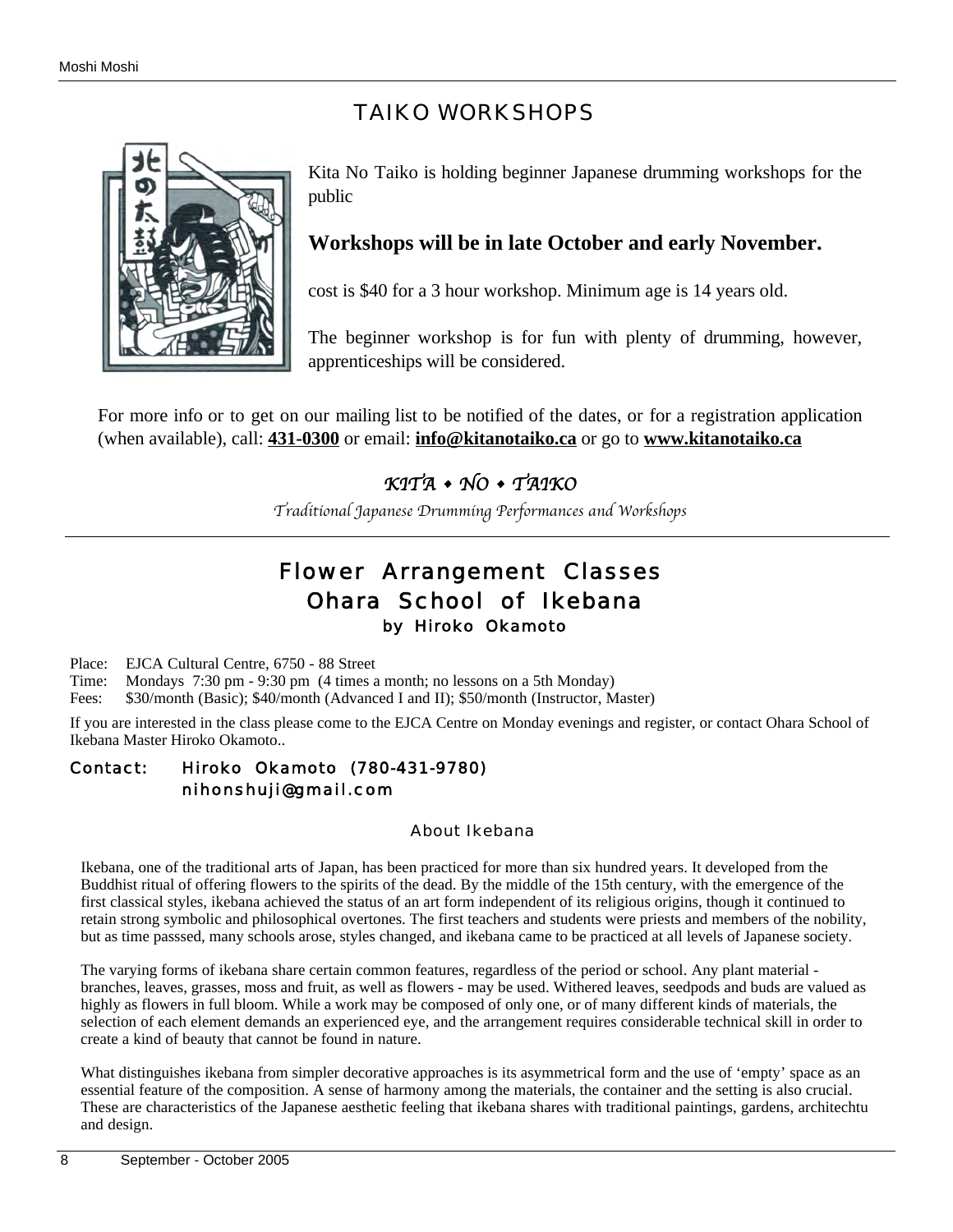# TAIKO WORKSHOPS



Kita No Taiko is holding beginner Japanese drumming workshops for the public

## **Workshops will be in late October and early November.**

cost is \$40 for a 3 hour workshop. Minimum age is 14 years old.

The beginner workshop is for fun with plenty of drumming, however, apprenticeships will be considered.

For more info or to get on our mailing list to be notified of the dates, or for a registration application (when available), call: **431-0300** or email: **info@kitanotaiko.ca** or go to **www.kitanotaiko.ca**

# *KITA • NO • TAIKO*

*Traditional Japanese Drumming Performances and Workshops*

# Flower Arrangement Classes Ohara School of Ikebana by Hiroko Okamoto

Place: EJCA Cultural Centre, 6750 - 88 Street

Time: Mondays 7:30 pm - 9:30 pm (4 times a month; no lessons on a 5th Monday)

Fees: \$30/month (Basic); \$40/month (Advanced I and II); \$50/month (Instructor, Master)

If you are interested in the class please come to the EJCA Centre on Monday evenings and register, or contact Ohara School of Ikebana Master Hiroko Okamoto..

## Contact: Hiroko Okamoto (780-431-9780) nihonshuji@gmail.com

About Ikebana

Ikebana, one of the traditional arts of Japan, has been practiced for more than six hundred years. It developed from the Buddhist ritual of offering flowers to the spirits of the dead. By the middle of the 15th century, with the emergence of the first classical styles, ikebana achieved the status of an art form independent of its religious origins, though it continued to retain strong symbolic and philosophical overtones. The first teachers and students were priests and members of the nobility, but as time passsed, many schools arose, styles changed, and ikebana came to be practiced at all levels of Japanese society.

The varying forms of ikebana share certain common features, regardless of the period or school. Any plant material branches, leaves, grasses, moss and fruit, as well as flowers - may be used. Withered leaves, seedpods and buds are valued as highly as flowers in full bloom. While a work may be composed of only one, or of many different kinds of materials, the selection of each element demands an experienced eye, and the arrangement requires considerable technical skill in order to create a kind of beauty that cannot be found in nature.

What distinguishes ikebana from simpler decorative approaches is its asymmetrical form and the use of 'empty' space as an essential feature of the composition. A sense of harmony among the materials, the container and the setting is also crucial. These are characteristics of the Japanese aesthetic feeling that ikebana shares with traditional paintings, gardens, architechture and design.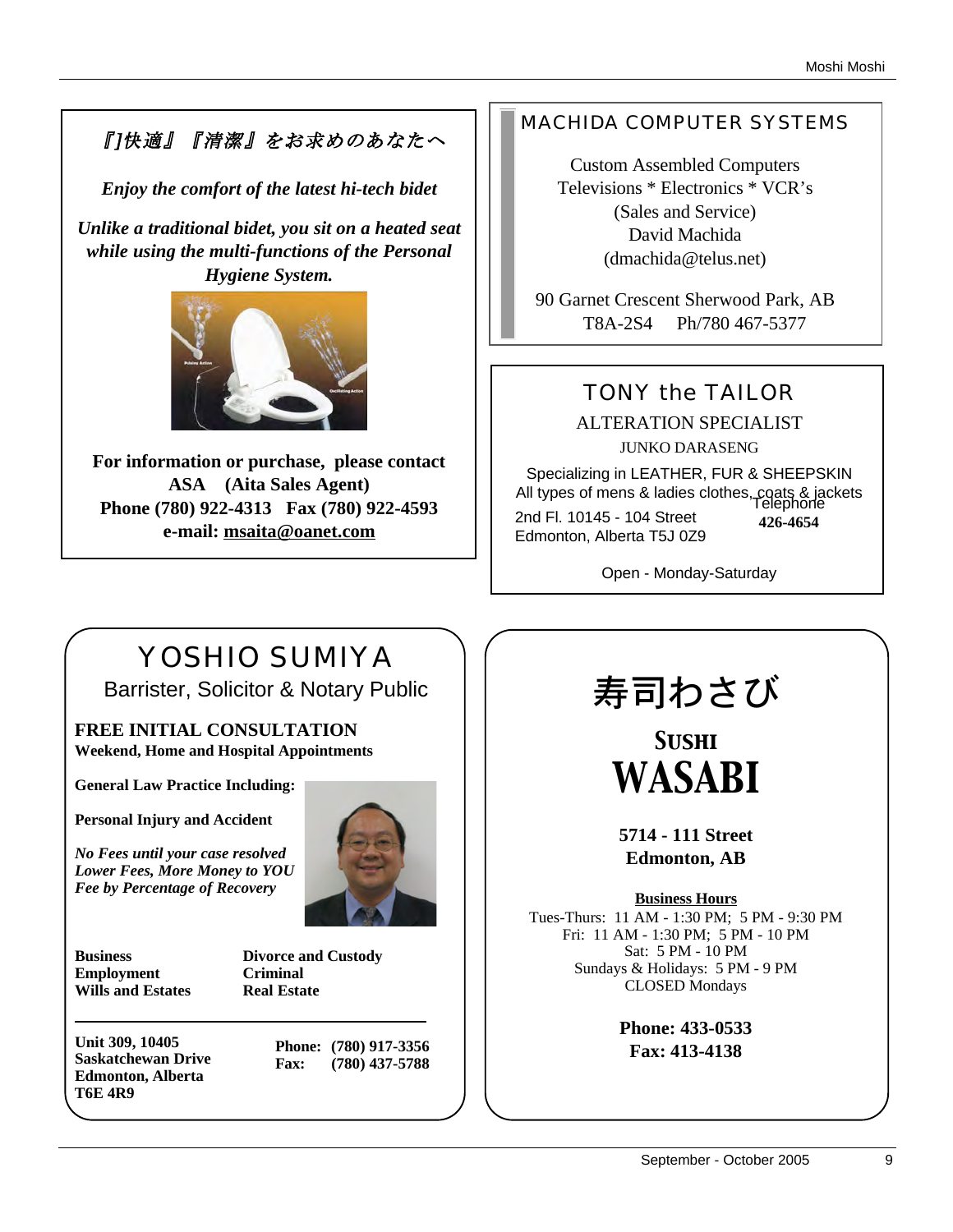# 『]快適』『清潔』をお求めのあなたへ

*Enjoy the comfort of the latest hi-tech bidet*

*Unlike a traditional bidet, you sit on a heated seat while using the multi-functions of the Personal Hygiene System.* 



**For information or purchase, please contact ASA (Aita Sales Agent) Phone (780) 922-4313 Fax (780) 922-4593 e-mail: msaita@oanet.com**

## MACHIDA COMPUTER SYSTEMS

Custom Assembled Computers Televisions \* Electronics \* VCR's (Sales and Service) David Machida (dmachida@telus.net)

90 Garnet Crescent Sherwood Park, AB T8A-2S4 Ph/780 467-5377

# TONY the TAILOR

ALTERATION SPECIALIST JUNKO DARASENG

Specializing in LEATHER, FUR & SHEEPSKIN All types of mens & ladies clothes, coats & jackets Telephone 2nd Fl. 10145 - 104 Street Edmonton, Alberta T5J 0Z9 **426-4654**

Open - Monday-Saturday

# YOSHIO SUMIYA

Barrister, Solicitor & Notary Public

**FREE INITIAL CONSULTATION Weekend, Home and Hospital Appointments**

**General Law Practice Including:**

**Personal Injury and Accident**

*No Fees until your case resolved Lower Fees, More Money to YOU Fee by Percentage of Recovery*



**Business Divorce and Custody Employment Criminal Wills and Estates Real Estate**

**Unit 309, 10405 Saskatchewan Drive Edmonton, Alberta T6E 4R9**

**Phone: (780) 917-3356 Fax: (780) 437-5788**

# 寿司わさび

*Sushi WASABI*

**5714 - 111 Street Edmonton, AB**

**Business Hours**

Tues-Thurs: 11 AM - 1:30 PM; 5 PM - 9:30 PM Fri: 11 AM - 1:30 PM; 5 PM - 10 PM Sat: 5 PM - 10 PM Sundays & Holidays: 5 PM - 9 PM CLOSED Mondays

> **Phone: 433-0533 Fax: 413-4138**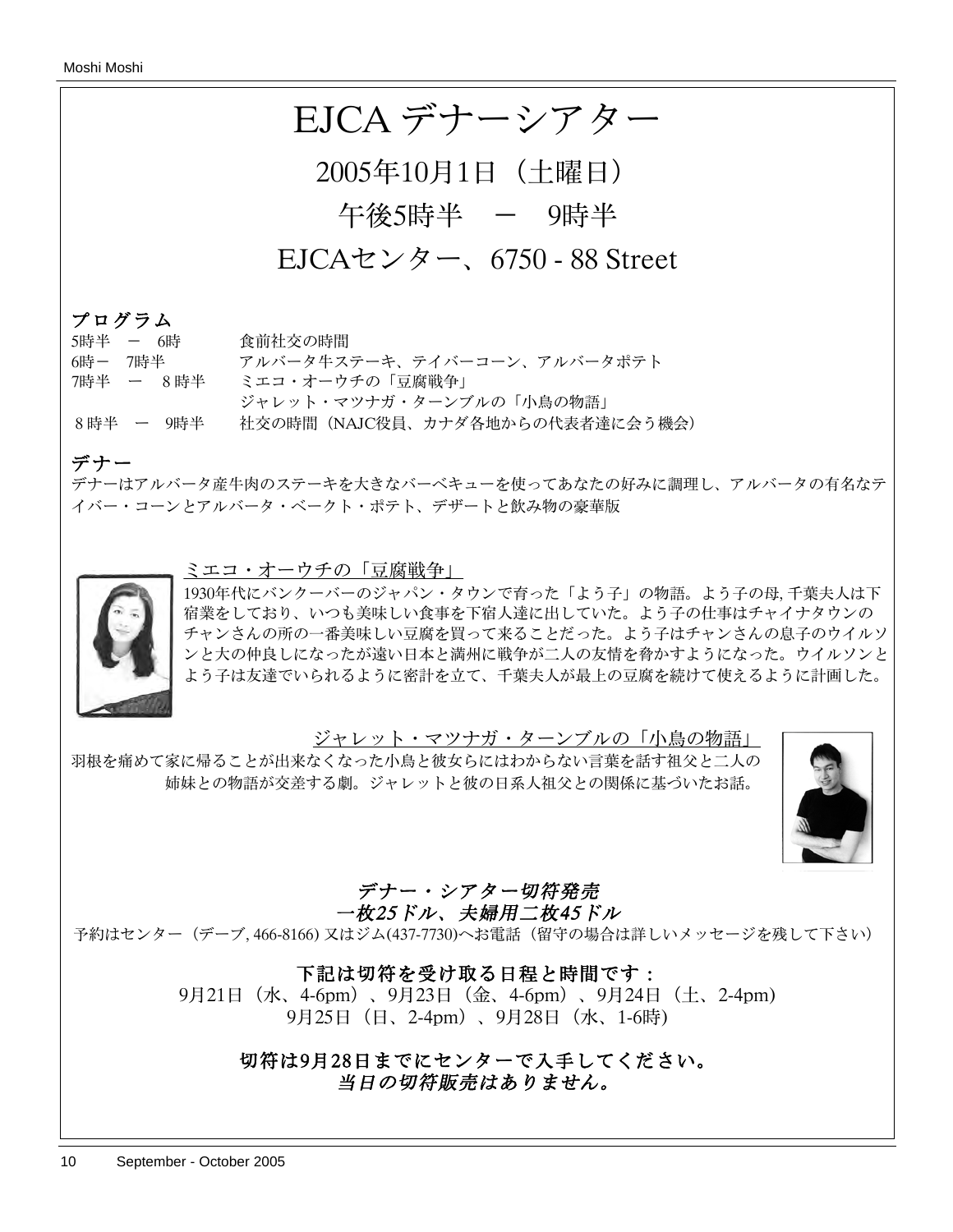

## プログラム

| 5時半 - 6時  |         |           | 食前社交の時間                          |
|-----------|---------|-----------|----------------------------------|
|           | 6時--7時半 |           | アルバータ牛ステーキ、テイバーコーン、アルバータポテト      |
| 7時半 ー 8時半 |         |           | ミエコ・オーウチの「豆腐戦争                   |
|           |         |           | ジャレット・マツナガ・ターンブルの「小鳥の物語」         |
|           |         | 8時半 ー 9時半 | 社交の時間 (NAJC役員、カナダ各地からの代表者達に会う機会) |

## デナー

デナーはアルバータ産牛肉のステーキを大きなバーベキューを使ってあなたの好みに調理し、アルバータの有名なテ イバー・コーンとアルバータ・ベークト・ポテト、デザートと飲み物の豪華版

### ミエコ・オーウチの「豆腐戦争」



1930年代にバンクーバーのジャパン・タウンで育った「よう子」の物語。よう子の母, 千葉夫人は下 宿業をしており、いつも美味しい食事を下宿人達に出していた。よう子の仕事はチャイナタウンの チャンさんの所の一番美味しい豆腐を買って来ることだった。よう子はチャンさんの息子のウイルソ ンと大の仲良しになったが遠い日本と満州に戦争が二人の友情を脅かすようになった。ウイルソンと よう子は友達でいられるように密計を立て、千葉夫人が最上の豆腐を続けて使えるように計画した。

ジャレット・マツナガ・ターンブルの「小鳥の物語」

羽根を痛めて家に帰ることが出来なくなった小鳥と彼女らにはわからない言葉を話す祖父と二人の 姉妹との物語が交差する劇。ジャレットと彼の日系人祖父との関係に基づいたお話。



# デナー・シアター切符発売

一枚25ドル、夫婦用二枚45ドル

予約はセンター(デーブ, 466-8166) 又はジム(437-7730)へお電話(留守の場合は詳しいメッセージを残して下さい)

## 下記は切符を受け取る日程と時間です:

9月21日(水、4-6pm)、9月23日(金、4-6pm)、9月24日(土、2-4pm) 9月25日(日、2-4pm)、9月28日(水、1-6時)

## 切符は9月28日までにセンターで入手してください。 当日の切符販売はありません。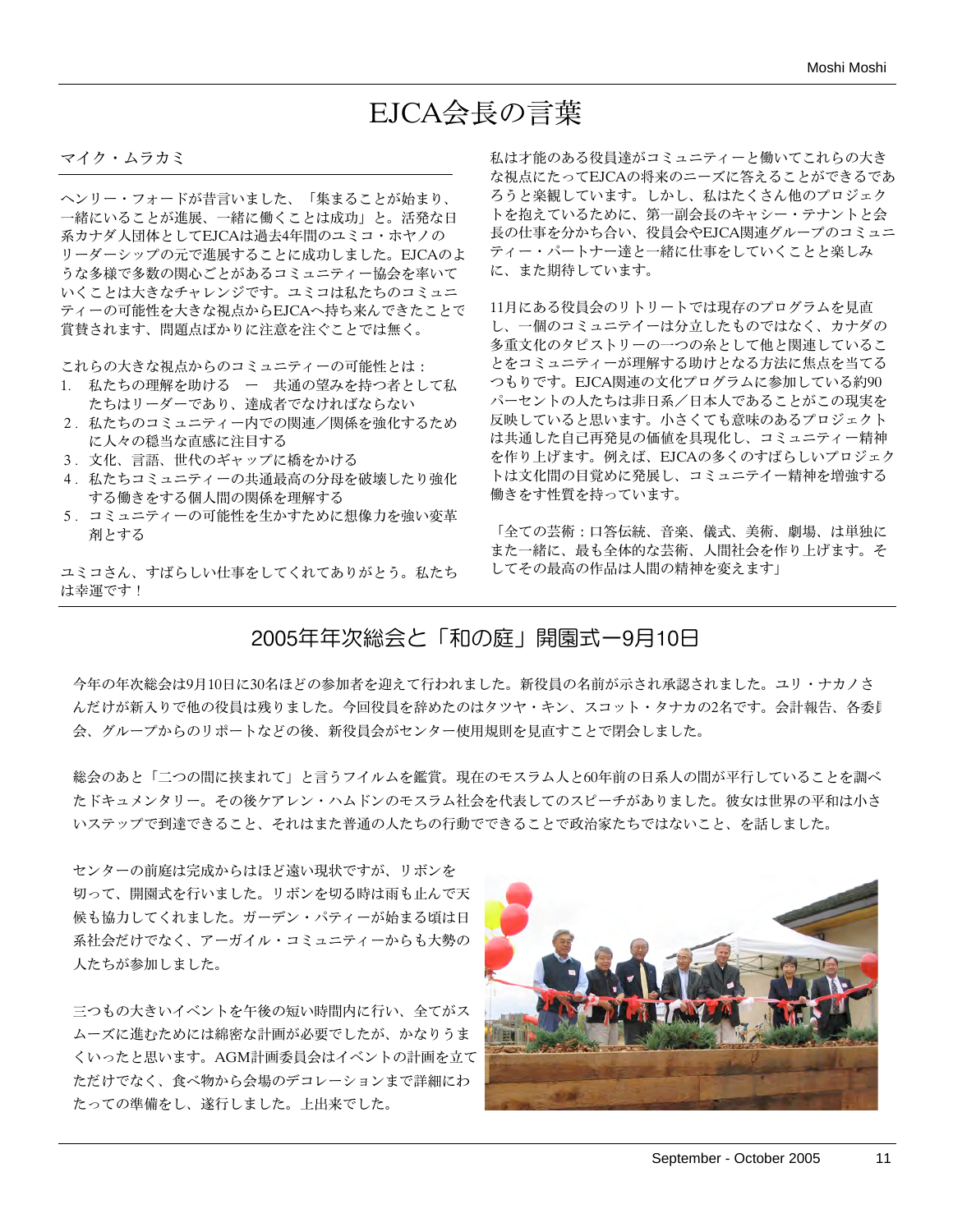# EJCA会長の言葉

#### マイク・ムラカミ

ヘンリー・フォードが昔言いました、「集まることが始まり、 一緒にいることが進展、一緒に働くことは成功」と。活発な日 系カナダ人団体としてEJCAは過去4年間のユミコ・ホヤノの リーダーシップの元で進展することに成功しました。EJCAのよ うな多様で多数の関心ごとがあるコミュニティー協会を率いて いくことは大きなチャレンジです。ユミコは私たちのコミュニ ティーの可能性を大きな視点からEJCAへ持ち来んできたことで 賞賛されます、問題点ばかりに注意を注ぐことでは無く。

これらの大きな視点からのコミュニティーの可能性とは:

- 1. 私たちの理解を助ける ー 共通の望みを持つ者として私 たちはリーダーであり、達成者でなければならない
- 2. 私たちのコミュニティー内での関連/関係を強化するため に人々の穏当な直感に注目する
- 3. 文化、言語、世代のギャップに橋をかける
- 4. 私たちコミュニティーの共通最高の分母を破壊したり強化 する働きをする個人間の関係を理解する
- 5. コミュニティーの可能性を生かすために想像力を強い変革 剤とする

ユミコさん、すばらしい仕事をしてくれてありがとう。私たち は幸運です!

私は才能のある役員達がコミュニティーと働いてこれらの大き な視点にたってEJCAの将来のニーズに答えることができるであ ろうと楽観しています。しかし、私はたくさん他のプロジェク トを抱えているために、第一副会長のキャシー・テナントと会 長の仕事を分かち合い、役員会やEJCA関連グループのコミュニ ティー・パートナー達と一緒に仕事をしていくことと楽しみ に、また期待しています。

11月にある役員会のリトリートでは現存のプログラムを見直 し、一個のコミュニテイーは分立したものではなく、カナダの 多重文化のタピストリーの一つの糸として他と関連しているこ とをコミュニティーが理解する助けとなる方法に焦点を当てる つもりです。EJCA関連の文化プログラムに参加している約90 パーセントの人たちは非日系/日本人であることがこの現実を 反映していると思います。小さくても意味のあるプロジェクト は共通した自己再発見の価値を具現化し、コミュニティー精神 を作り上げます。例えば、EJCAの多くのすばらしいプロジェク トは文化間の目覚めに発展し、コミュニテイー精神を増強する 働きをす性質を持っています。

「全ての芸術:口答伝統、音楽、儀式、美術、劇場、は単独に また一緒に、最も全体的な芸術、人間社会を作り上げます。そ してその最高の作品は人間の精神を変えます」

## 2005年年次総会と「和の庭」開園式ー9月10日

今年の年次総会は9月10日に30名ほどの参加者を迎えて行われました。新役員の名前が示され承認されました。ユリ・ナカノさ んだけが新入りで他の役員は残りました。今回役員を辞めたのはタツヤ・キン、スコット・タナカの2名です。会計報告、各委員 会、グループからのリポートなどの後、新役員会がセンター使用規則を見直すことで閉会しました。

総会のあと「二つの間に挟まれて」と言うフイルムを鑑賞。現在のモスラム人と60年前の日系人の間が平行していることを調べ たドキュメンタリー。その後ケアレン・ハムドンのモスラム社会を代表してのスピーチがありました。彼女は世界の平和は小さ いステップで到達できること、それはまた普通の人たちの行動でできることで政治家たちではないこと、を話しました。

センターの前庭は完成からはほど遠い現状ですが、リボンを 切って、開園式を行いました。リボンを切る時は雨も止んで天 候も協力してくれました。ガーデン・パティーが始まる頃は日 系社会だけでなく、アーガイル・コミュニティーからも大勢の 人たちが参加しました。

三つもの大きいイベントを午後の短い時間内に行い、全てがス ムーズに進むためには綿密な計画が必要でしたが、かなりうま くいったと思います。AGM計画委員会はイベントの計画を立て ただけでなく、食べ物から会場のデコレーションまで詳細にわ たっての準備をし、遂行しました。上出来でした。

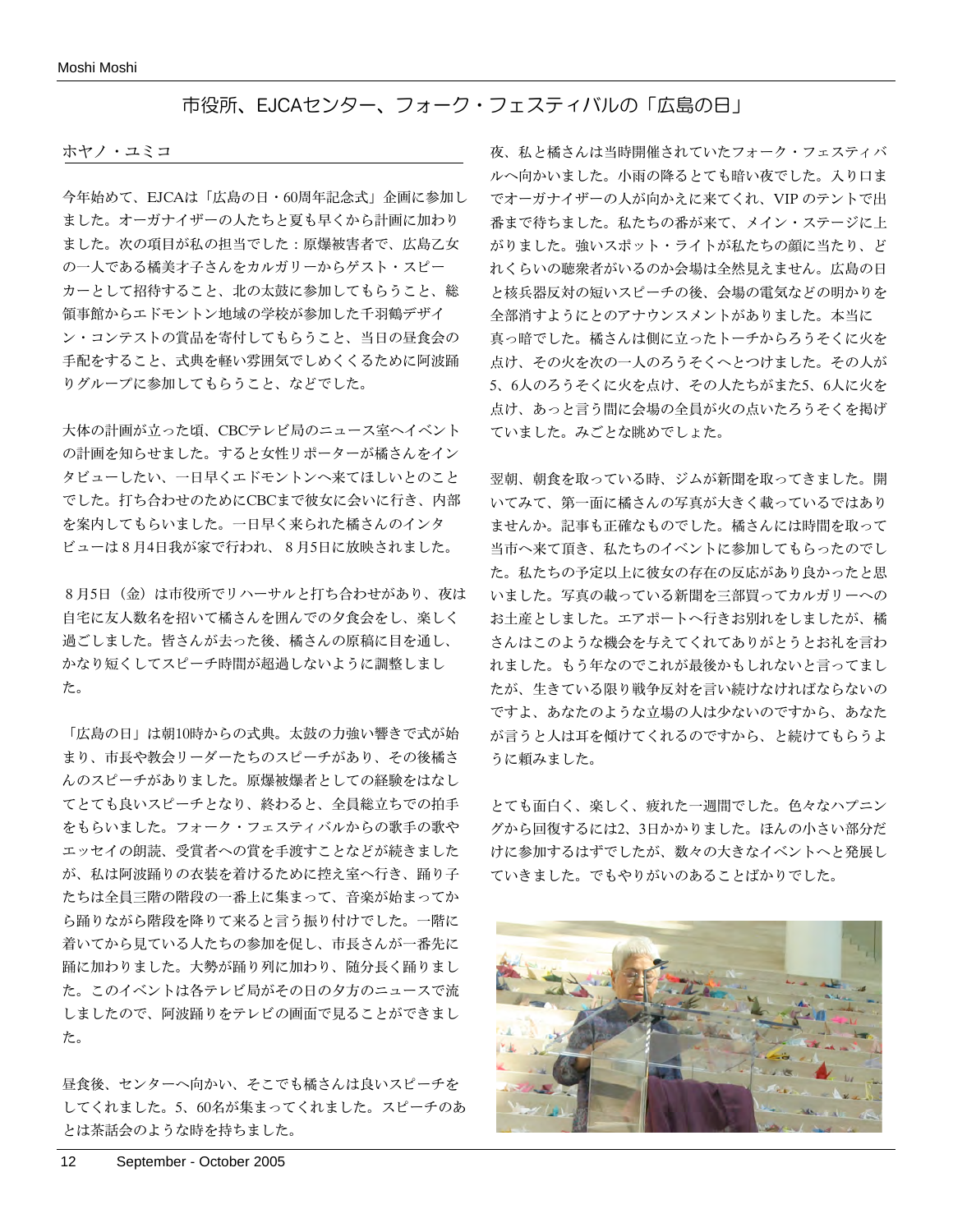#### Moshi Moshi

## 市役所、EJCAセンター、フォーク・フェスティバルの「広島の日」

#### ホヤノ・ユミコ

今年始めて、EJCAは「広島の日・60周年記念式」企画に参加し ました。オーガナイザーの人たちと夏も早くから計画に加わり ました。次の項目が私の担当でした:原爆被害者で、広島乙女 の一人である橘美才子さんをカルガリーからゲスト・スピー カーとして招待すること、北の太鼓に参加してもらうこと、総 領事館からエドモントン地域の学校が参加した千羽鶴デザイ ン・コンテストの賞品を寄付してもらうこと、当日の昼食会の 手配をすること、式典を軽い雰囲気でしめくくるために阿波踊 りグループに参加してもらうこと、などでした。

大体の計画が立った頃、CBCテレビ局のニュース室へイベント の計画を知らせました。すると女性リポーターが橘さんをイン タビューしたい、一日早くエドモントンへ来てほしいとのこと でした。打ち合わせのためにCBCまで彼女に会いに行き、内部 を案内してもらいました。一日早く来られた橘さんのインタ ビューは8月4日我が家で行われ、8月5日に放映されました。

8月5日(金)は市役所でリハーサルと打ち合わせがあり、夜は 自宅に友人数名を招いて橘さんを囲んでの夕食会をし、楽しく 過ごしました。皆さんが去った後、橘さんの原稿に目を通し、 かなり短くしてスピーチ時間が超過しないように調整しまし た。

「広島の日」は朝10時からの式典。太鼓の力強い響きで式が始 まり、市長や教会リーダーたちのスピーチがあり、その後橘さ んのスピーチがありました。原爆被爆者としての経験をはなし てとても良いスピーチとなり、終わると、全員総立ちでの拍手 をもらいました。フォーク・フェスティバルからの歌手の歌や エッセイの朗読、受賞者への賞を手渡すことなどが続きました が、私は阿波踊りの衣装を着けるために控え室へ行き、踊り子 たちは全員三階の階段の一番上に集まって、音楽が始まってか ら踊りながら階段を降りて来ると言う振り付けでした。一階に 着いてから見ている人たちの参加を促し、市長さんが一番先に 踊に加わりました。大勢が踊り列に加わり、随分長く踊りまし た。このイベントは各テレビ局がその日の夕方のニュースで流 しましたので、阿波踊りをテレビの画面で見ることができまし た。

昼食後、センターへ向かい、そこでも橘さんは良いスピーチを してくれました。5、60名が集まってくれました。スピーチのあ とは茶話会のような時を持ちました。

夜、私と橘さんは当時開催されていたフォーク・フェスティバ ルへ向かいました。小雨の降るとても暗い夜でした。入り口ま でオーガナイザーの人が向かえに来てくれ、VIP のテントで出 番まで待ちました。私たちの番が来て、メイン・ステージに上 がりました。強いスポット・ライトが私たちの顔に当たり、ど れくらいの聴衆者がいるのか会場は全然見えません。広島の日 と核兵器反対の短いスピーチの後、会場の電気などの明かりを 全部消すようにとのアナウンスメントがありました。本当に 真っ暗でした。橘さんは側に立ったトーチからろうそくに火を 点け、その火を次の一人のろうそくへとつけました。その人が 5、6人のろうそくに火を点け、その人たちがまた5、6人に火を 点け、あっと言う間に会場の全員が火の点いたろうそくを掲げ ていました。みごとな眺めでしょた。

翌朝、朝食を取っている時、ジムが新聞を取ってきました。開 いてみて、第一面に橘さんの写真が大きく載っているではあり ませんか。記事も正確なものでした。橘さんには時間を取って 当市へ来て頂き、私たちのイベントに参加してもらったのでし た。私たちの予定以上に彼女の存在の反応があり良かったと思 いました。写真の載っている新聞を三部買ってカルガリーへの お土産としました。エアポートへ行きお別れをしましたが、橘 さんはこのような機会を与えてくれてありがとうとお礼を言わ れました。もう年なのでこれが最後かもしれないと言ってまし たが、生きている限り戦争反対を言い続けなければならないの ですよ、あなたのような立場の人は少ないのですから、あなた が言うと人は耳を傾けてくれるのですから、と続けてもらうよ うに頼みました。

とても面白く、楽しく、疲れた一週間でした。色々なハプニン グから回復するには2、3日かかりました。ほんの小さい部分だ けに参加するはずでしたが、数々の大きなイベントへと発展し ていきました。でもやりがいのあることばかりでした。

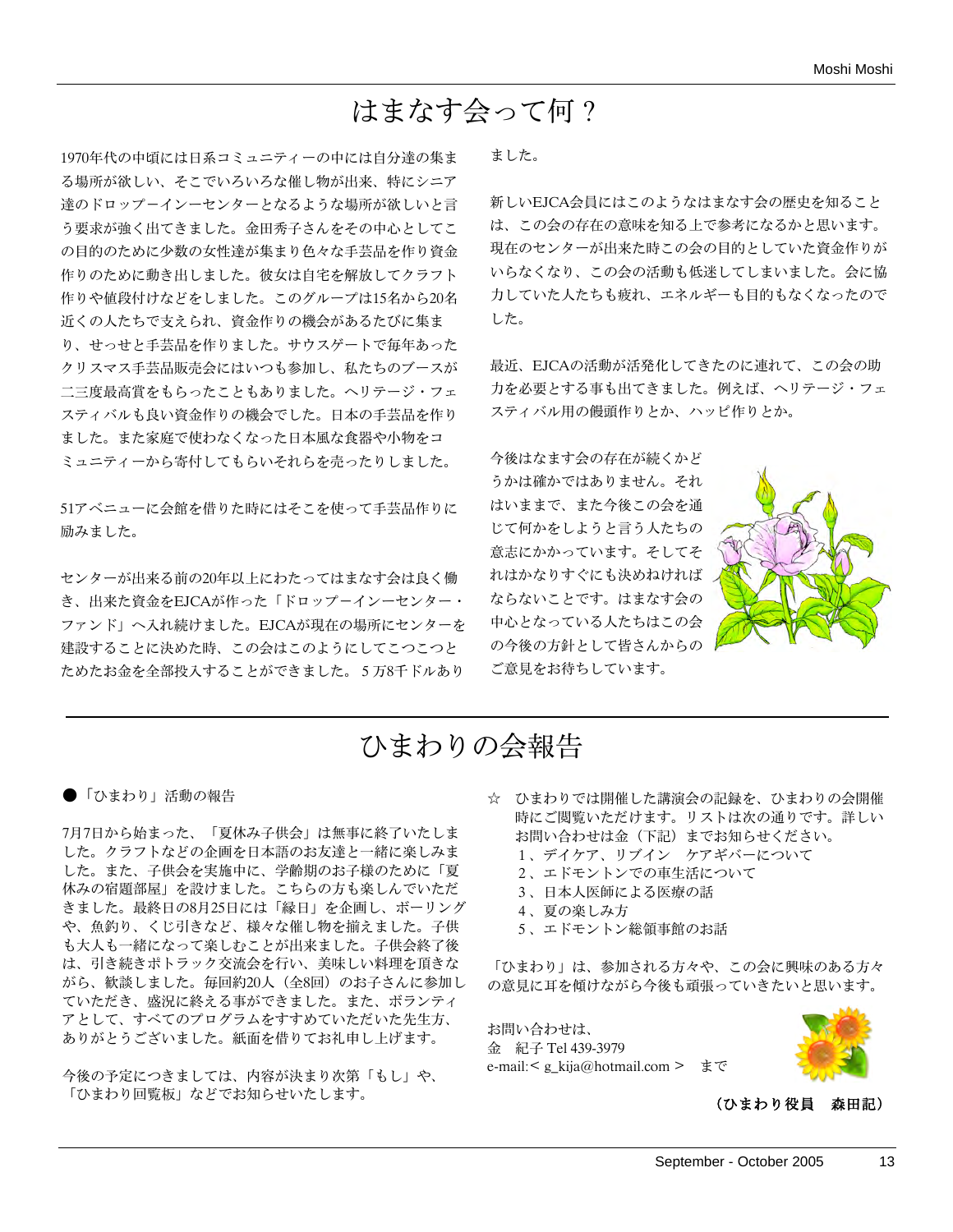# はまなす会って何?

1970年代の中頃には日系コミュニティーの中には自分達の集ま る場所が欲しい、そこでいろいろな催し物が出来、特にシニア 達のドロップ-インーセンターとなるような場所が欲しいと言 う要求が強く出てきました。金田秀子さんをその中心としてこ の目的のために少数の女性達が集まり色々な手芸品を作り資金 作りのために動き出しました。彼女は自宅を解放してクラフト 作りや値段付けなどをしました。このグループは15名から20名 近くの人たちで支えられ、資金作りの機会があるたびに集ま り、せっせと手芸品を作りました。サウスゲートで毎年あった クリスマス手芸品販売会にはいつも参加し、私たちのブースが 二三度最高賞をもらったこともありました。ヘリテージ・フェ スティバルも良い資金作りの機会でした。日本の手芸品を作り ました。また家庭で使わなくなった日本風な食器や小物をコ ミュニティーから寄付してもらいそれらを売ったりしました。

51アベニューに会館を借りた時にはそこを使って手芸品作りに 励みました。

センターが出来る前の20年以上にわたってはまなす会は良く働 き、出来た資金をEJCAが作った「ドロップ-インーセンター・ ファンド」へ入れ続けました。EJCAが現在の場所にセンターを 建設することに決めた時、この会はこのようにしてこつこつと ためたお金を全部投入することができました。5万8千ドルあり

ました。

新しいEJCA会員にはこのようなはまなす会の歴史を知ること は、この会の存在の意味を知る上で参考になるかと思います。 現在のセンターが出来た時この会の目的としていた資金作りが いらなくなり、この会の活動も低迷してしまいました。会に協 力していた人たちも疲れ、エネルギーも目的もなくなったので した。

最近、EJCAの活動が活発化してきたのに連れて、この会の助 力を必要とする事も出てきました。例えば、ヘリテージ・フェ スティバル用の饅頭作りとか、ハッピ作りとか。

今後はなます会の存在が続くかど うかは確かではありません。それ はいままで、また今後この会を通 じて何かをしようと言う人たちの 意志にかかっています。そしてそ れはかなりすぐにも決めねければ ならないことです。はまなす会の 中心となっている人たちはこの会 の今後の方針として皆さんからの ご意見をお待ちしています。



# ひまわりの会報告

●「ひまわり」活動の報告

7月7日から始まった、「夏休み子供会」は無事に終了いたしま した。クラフトなどの企画を日本語のお友達と一緒に楽しみま した。また、子供会を実施中に、学齢期のお子様のために「夏 休みの宿題部屋」を設けました。こちらの方も楽しんでいただ きました。最終日の8月25日には「縁日」を企画し、ボーリング や、魚釣り、くじ引きなど、様々な催し物を揃えました。子供 も大人も一緒になって楽しむことが出来ました。子供会終了後 は、引き続きポトラック交流会を行い、美味しい料理を頂きな がら、歓談しました。毎回約20人(全8回)のお子さんに参加し ていただき、盛況に終える事ができました。また、ボランティ アとして、すべてのプログラムをすすめていただいた先生方、 ありがとうございました。紙面を借りてお礼申し上げます。

今後の予定につきましては、内容が決まり次第「もし」や、 「ひまわり回覧板」などでお知らせいたします。

- ☆ ひまわりでは開催した講演会の記録を、ひまわりの会開催 時にご閲覧いただけます。リストは次の通りです。詳しい お問い合わせは金(下記)までお知らせください。 1、デイケア、リブイン ケアギバーについて 2、エドモントンでの車生活について 3、日本人医師による医療の話 4、夏の楽しみ方
	- 5、エドモントン総領事館のお話

「ひまわり」は、参加される方々や、この会に興味のある方々 の意見に耳を傾けながら今後も頑張っていきたいと思います。

お問い合わせは、 金 紀子 Tel 439-3979 e-mail:< g\_kija@hotmail.com > まで



(ひまわり役員 森田記)